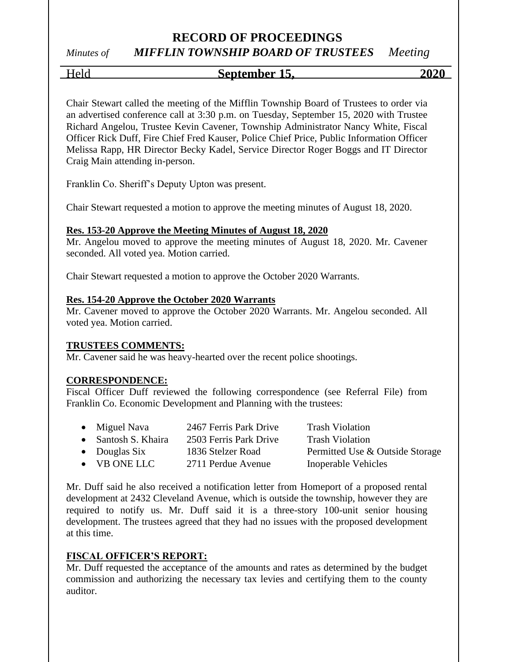# *Minutes of MIFFLIN TOWNSHIP BOARD OF TRUSTEES Meeting*

#### Held **September 15, 2020**

Chair Stewart called the meeting of the Mifflin Township Board of Trustees to order via an advertised conference call at 3:30 p.m. on Tuesday, September 15, 2020 with Trustee Richard Angelou, Trustee Kevin Cavener, Township Administrator Nancy White, Fiscal Officer Rick Duff, Fire Chief Fred Kauser, Police Chief Price, Public Information Officer Melissa Rapp, HR Director Becky Kadel, Service Director Roger Boggs and IT Director Craig Main attending in-person.

Franklin Co. Sheriff's Deputy Upton was present.

Chair Stewart requested a motion to approve the meeting minutes of August 18, 2020.

#### **Res. 153-20 Approve the Meeting Minutes of August 18, 2020**

Mr. Angelou moved to approve the meeting minutes of August 18, 2020. Mr. Cavener seconded. All voted yea. Motion carried.

Chair Stewart requested a motion to approve the October 2020 Warrants.

#### **Res. 154-20 Approve the October 2020 Warrants**

Mr. Cavener moved to approve the October 2020 Warrants. Mr. Angelou seconded. All voted yea. Motion carried.

#### **TRUSTEES COMMENTS:**

Mr. Cavener said he was heavy-hearted over the recent police shootings.

#### **CORRESPONDENCE:**

Fiscal Officer Duff reviewed the following correspondence (see Referral File) from Franklin Co. Economic Development and Planning with the trustees:

• Miguel Nava 2467 Ferris Park Drive Trash Violation • Santosh S. Khaira 2503 Ferris Park Drive Trash Violation • Douglas Six 1836 Stelzer Road Permitted Use & Outside Storage • VB ONE LLC 2711 Perdue Avenue Inoperable Vehicles

Mr. Duff said he also received a notification letter from Homeport of a proposed rental development at 2432 Cleveland Avenue, which is outside the township, however they are required to notify us. Mr. Duff said it is a three-story 100-unit senior housing development. The trustees agreed that they had no issues with the proposed development at this time.

#### **FISCAL OFFICER'S REPORT:**

Mr. Duff requested the acceptance of the amounts and rates as determined by the budget commission and authorizing the necessary tax levies and certifying them to the county auditor.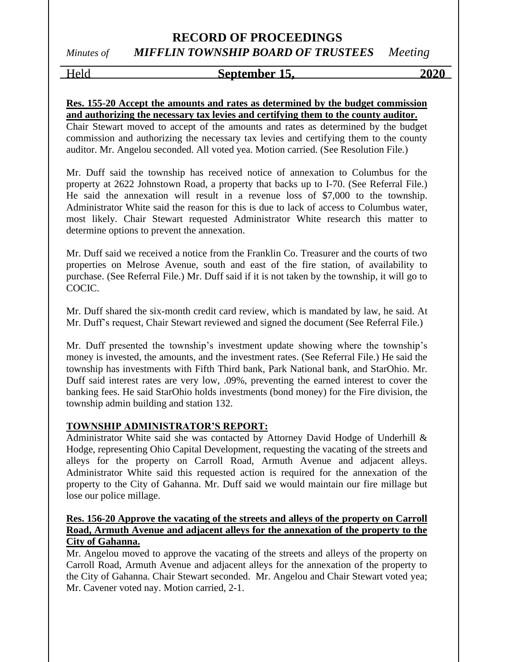# *Minutes of MIFFLIN TOWNSHIP BOARD OF TRUSTEES Meeting*

#### Held **September 15, 2020**

#### **Res. 155-20 Accept the amounts and rates as determined by the budget commission and authorizing the necessary tax levies and certifying them to the county auditor.**

Chair Stewart moved to accept of the amounts and rates as determined by the budget commission and authorizing the necessary tax levies and certifying them to the county auditor. Mr. Angelou seconded. All voted yea. Motion carried. (See Resolution File.)

Mr. Duff said the township has received notice of annexation to Columbus for the property at 2622 Johnstown Road, a property that backs up to I-70. (See Referral File.) He said the annexation will result in a revenue loss of \$7,000 to the township. Administrator White said the reason for this is due to lack of access to Columbus water, most likely. Chair Stewart requested Administrator White research this matter to determine options to prevent the annexation.

Mr. Duff said we received a notice from the Franklin Co. Treasurer and the courts of two properties on Melrose Avenue, south and east of the fire station, of availability to purchase. (See Referral File.) Mr. Duff said if it is not taken by the township, it will go to COCIC.

Mr. Duff shared the six-month credit card review, which is mandated by law, he said. At Mr. Duff's request, Chair Stewart reviewed and signed the document (See Referral File.)

Mr. Duff presented the township's investment update showing where the township's money is invested, the amounts, and the investment rates. (See Referral File.) He said the township has investments with Fifth Third bank, Park National bank, and StarOhio. Mr. Duff said interest rates are very low, .09%, preventing the earned interest to cover the banking fees. He said StarOhio holds investments (bond money) for the Fire division, the township admin building and station 132.

#### **TOWNSHIP ADMINISTRATOR'S REPORT:**

Administrator White said she was contacted by Attorney David Hodge of Underhill & Hodge, representing Ohio Capital Development, requesting the vacating of the streets and alleys for the property on Carroll Road, Armuth Avenue and adjacent alleys. Administrator White said this requested action is required for the annexation of the property to the City of Gahanna. Mr. Duff said we would maintain our fire millage but lose our police millage.

#### **Res. 156-20 Approve the vacating of the streets and alleys of the property on Carroll Road, Armuth Avenue and adjacent alleys for the annexation of the property to the City of Gahanna.**

Mr. Angelou moved to approve the vacating of the streets and alleys of the property on Carroll Road, Armuth Avenue and adjacent alleys for the annexation of the property to the City of Gahanna. Chair Stewart seconded. Mr. Angelou and Chair Stewart voted yea; Mr. Cavener voted nay. Motion carried, 2-1.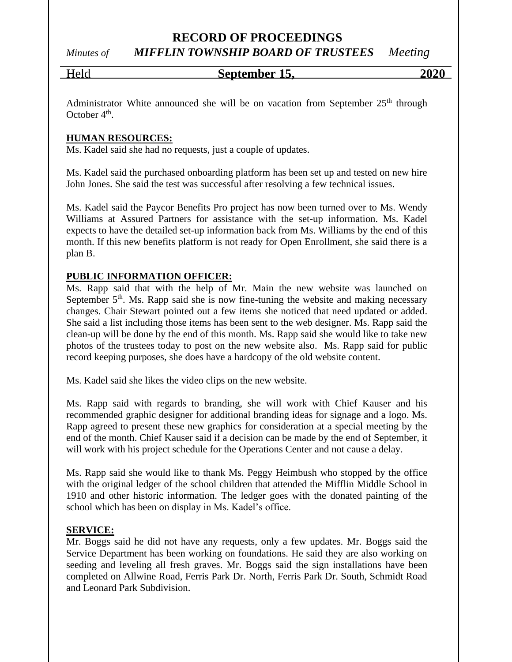# *Minutes of MIFFLIN TOWNSHIP BOARD OF TRUSTEES Meeting*

#### Held **September 15, 2020**

Administrator White announced she will be on vacation from September  $25<sup>th</sup>$  through October 4<sup>th</sup>.

#### **HUMAN RESOURCES:**

Ms. Kadel said she had no requests, just a couple of updates.

Ms. Kadel said the purchased onboarding platform has been set up and tested on new hire John Jones. She said the test was successful after resolving a few technical issues.

Ms. Kadel said the Paycor Benefits Pro project has now been turned over to Ms. Wendy Williams at Assured Partners for assistance with the set-up information. Ms. Kadel expects to have the detailed set-up information back from Ms. Williams by the end of this month. If this new benefits platform is not ready for Open Enrollment, she said there is a plan B.

#### **PUBLIC INFORMATION OFFICER:**

Ms. Rapp said that with the help of Mr. Main the new website was launched on September  $5<sup>th</sup>$ . Ms. Rapp said she is now fine-tuning the website and making necessary changes. Chair Stewart pointed out a few items she noticed that need updated or added. She said a list including those items has been sent to the web designer. Ms. Rapp said the clean-up will be done by the end of this month. Ms. Rapp said she would like to take new photos of the trustees today to post on the new website also. Ms. Rapp said for public record keeping purposes, she does have a hardcopy of the old website content.

Ms. Kadel said she likes the video clips on the new website.

Ms. Rapp said with regards to branding, she will work with Chief Kauser and his recommended graphic designer for additional branding ideas for signage and a logo. Ms. Rapp agreed to present these new graphics for consideration at a special meeting by the end of the month. Chief Kauser said if a decision can be made by the end of September, it will work with his project schedule for the Operations Center and not cause a delay.

Ms. Rapp said she would like to thank Ms. Peggy Heimbush who stopped by the office with the original ledger of the school children that attended the Mifflin Middle School in 1910 and other historic information. The ledger goes with the donated painting of the school which has been on display in Ms. Kadel's office.

#### **SERVICE:**

Mr. Boggs said he did not have any requests, only a few updates. Mr. Boggs said the Service Department has been working on foundations. He said they are also working on seeding and leveling all fresh graves. Mr. Boggs said the sign installations have been completed on Allwine Road, Ferris Park Dr. North, Ferris Park Dr. South, Schmidt Road and Leonard Park Subdivision.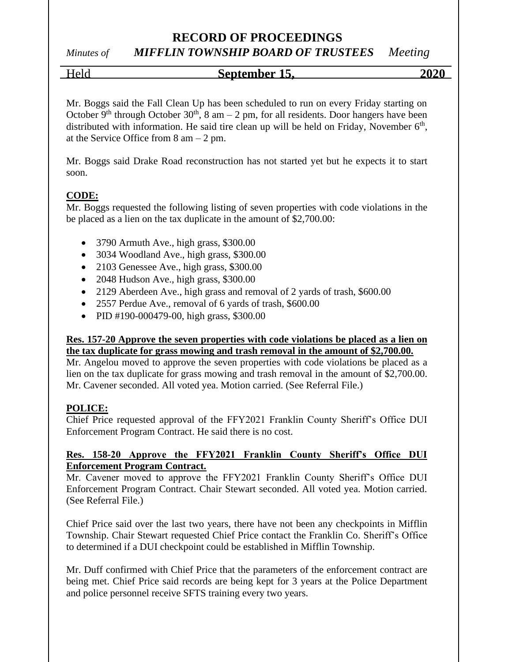# *Minutes of MIFFLIN TOWNSHIP BOARD OF TRUSTEES Meeting*

## Held **September 15, 2020**

Mr. Boggs said the Fall Clean Up has been scheduled to run on every Friday starting on October 9<sup>th</sup> through October 30<sup>th</sup>, 8 am – 2 pm, for all residents. Door hangers have been distributed with information. He said tire clean up will be held on Friday, November  $6<sup>th</sup>$ , at the Service Office from  $8 \text{ am} - 2 \text{ pm}$ .

Mr. Boggs said Drake Road reconstruction has not started yet but he expects it to start soon.

#### **CODE:**

Mr. Boggs requested the following listing of seven properties with code violations in the be placed as a lien on the tax duplicate in the amount of \$2,700.00:

- 3790 Armuth Ave., high grass, \$300.00
- 3034 Woodland Ave., high grass, \$300.00
- 2103 Genessee Ave., high grass, \$300.00
- 2048 Hudson Ave., high grass, \$300.00
- 2129 Aberdeen Ave., high grass and removal of 2 yards of trash, \$600.00
- 2557 Perdue Ave., removal of 6 yards of trash, \$600.00
- PID #190-000479-00, high grass, \$300.00

#### **Res. 157-20 Approve the seven properties with code violations be placed as a lien on the tax duplicate for grass mowing and trash removal in the amount of \$2,700.00.**

Mr. Angelou moved to approve the seven properties with code violations be placed as a lien on the tax duplicate for grass mowing and trash removal in the amount of \$2,700.00. Mr. Cavener seconded. All voted yea. Motion carried. (See Referral File.)

## **POLICE:**

Chief Price requested approval of the FFY2021 Franklin County Sheriff's Office DUI Enforcement Program Contract. He said there is no cost.

#### **Res. 158-20 Approve the FFY2021 Franklin County Sheriff's Office DUI Enforcement Program Contract.**

Mr. Cavener moved to approve the FFY2021 Franklin County Sheriff's Office DUI Enforcement Program Contract. Chair Stewart seconded. All voted yea. Motion carried. (See Referral File.)

Chief Price said over the last two years, there have not been any checkpoints in Mifflin Township. Chair Stewart requested Chief Price contact the Franklin Co. Sheriff's Office to determined if a DUI checkpoint could be established in Mifflin Township.

Mr. Duff confirmed with Chief Price that the parameters of the enforcement contract are being met. Chief Price said records are being kept for 3 years at the Police Department and police personnel receive SFTS training every two years.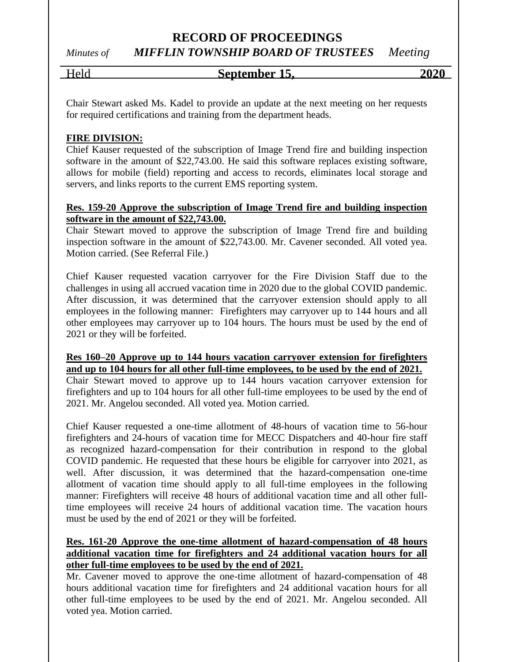# *Minutes of MIFFLIN TOWNSHIP BOARD OF TRUSTEES Meeting*

## Held **September 15, 2020**

Chair Stewart asked Ms. Kadel to provide an update at the next meeting on her requests for required certifications and training from the department heads.

#### **FIRE DIVISION:**

Chief Kauser requested of the subscription of Image Trend fire and building inspection software in the amount of \$22,743.00. He said this software replaces existing software, allows for mobile (field) reporting and access to records, eliminates local storage and servers, and links reports to the current EMS reporting system.

#### **Res. 159-20 Approve the subscription of Image Trend fire and building inspection software in the amount of \$22,743.00.**

Chair Stewart moved to approve the subscription of Image Trend fire and building inspection software in the amount of \$22,743.00. Mr. Cavener seconded. All voted yea. Motion carried. (See Referral File.)

Chief Kauser requested vacation carryover for the Fire Division Staff due to the challenges in using all accrued vacation time in 2020 due to the global COVID pandemic. After discussion, it was determined that the carryover extension should apply to all employees in the following manner: Firefighters may carryover up to 144 hours and all other employees may carryover up to 104 hours. The hours must be used by the end of 2021 or they will be forfeited.

#### **Res 160–20 Approve up to 144 hours vacation carryover extension for firefighters and up to 104 hours for all other full-time employees, to be used by the end of 2021.**

Chair Stewart moved to approve up to 144 hours vacation carryover extension for firefighters and up to 104 hours for all other full-time employees to be used by the end of 2021. Mr. Angelou seconded. All voted yea. Motion carried.

Chief Kauser requested a one-time allotment of 48-hours of vacation time to 56-hour firefighters and 24-hours of vacation time for MECC Dispatchers and 40-hour fire staff as recognized hazard-compensation for their contribution in respond to the global COVID pandemic. He requested that these hours be eligible for carryover into 2021, as well. After discussion, it was determined that the hazard-compensation one-time allotment of vacation time should apply to all full-time employees in the following manner: Firefighters will receive 48 hours of additional vacation time and all other fulltime employees will receive 24 hours of additional vacation time. The vacation hours must be used by the end of 2021 or they will be forfeited.

#### **Res. 161-20 Approve the one-time allotment of hazard-compensation of 48 hours additional vacation time for firefighters and 24 additional vacation hours for all other full-time employees to be used by the end of 2021.**

Mr. Cavener moved to approve the one-time allotment of hazard-compensation of 48 hours additional vacation time for firefighters and 24 additional vacation hours for all other full-time employees to be used by the end of 2021. Mr. Angelou seconded. All voted yea. Motion carried.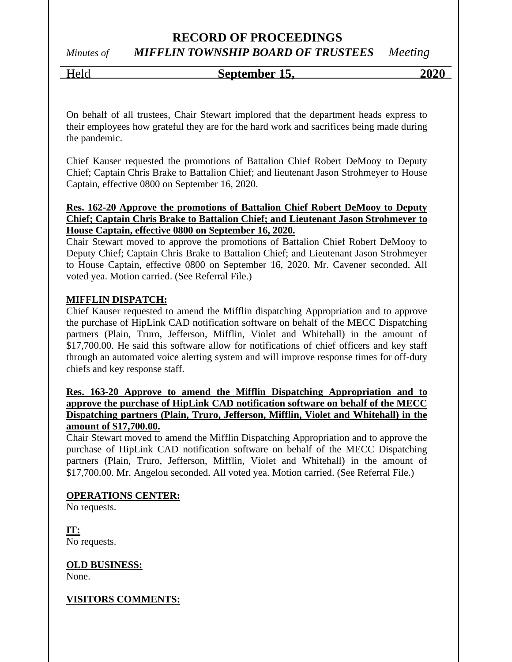## **RECORD OF PROCEEDINGS** *Minutes of MIFFLIN TOWNSHIP BOARD OF TRUSTEES Meeting*

# Held **September 15, 2020**

On behalf of all trustees, Chair Stewart implored that the department heads express to their employees how grateful they are for the hard work and sacrifices being made during the pandemic.

Chief Kauser requested the promotions of Battalion Chief Robert DeMooy to Deputy Chief; Captain Chris Brake to Battalion Chief; and lieutenant Jason Strohmeyer to House Captain, effective 0800 on September 16, 2020.

#### **Res. 162-20 Approve the promotions of Battalion Chief Robert DeMooy to Deputy Chief; Captain Chris Brake to Battalion Chief; and Lieutenant Jason Strohmeyer to House Captain, effective 0800 on September 16, 2020.**

Chair Stewart moved to approve the promotions of Battalion Chief Robert DeMooy to Deputy Chief; Captain Chris Brake to Battalion Chief; and Lieutenant Jason Strohmeyer to House Captain, effective 0800 on September 16, 2020. Mr. Cavener seconded. All voted yea. Motion carried. (See Referral File.)

#### **MIFFLIN DISPATCH:**

Chief Kauser requested to amend the Mifflin dispatching Appropriation and to approve the purchase of HipLink CAD notification software on behalf of the MECC Dispatching partners (Plain, Truro, Jefferson, Mifflin, Violet and Whitehall) in the amount of \$17,700.00. He said this software allow for notifications of chief officers and key staff through an automated voice alerting system and will improve response times for off-duty chiefs and key response staff.

#### **Res. 163-20 Approve to amend the Mifflin Dispatching Appropriation and to approve the purchase of HipLink CAD notification software on behalf of the MECC Dispatching partners (Plain, Truro, Jefferson, Mifflin, Violet and Whitehall) in the amount of \$17,700.00.**

Chair Stewart moved to amend the Mifflin Dispatching Appropriation and to approve the purchase of HipLink CAD notification software on behalf of the MECC Dispatching partners (Plain, Truro, Jefferson, Mifflin, Violet and Whitehall) in the amount of \$17,700.00. Mr. Angelou seconded. All voted yea. Motion carried. (See Referral File.)

#### **OPERATIONS CENTER:**

No requests.

**IT:** No requests.

#### **OLD BUSINESS:**

None.

#### **VISITORS COMMENTS:**